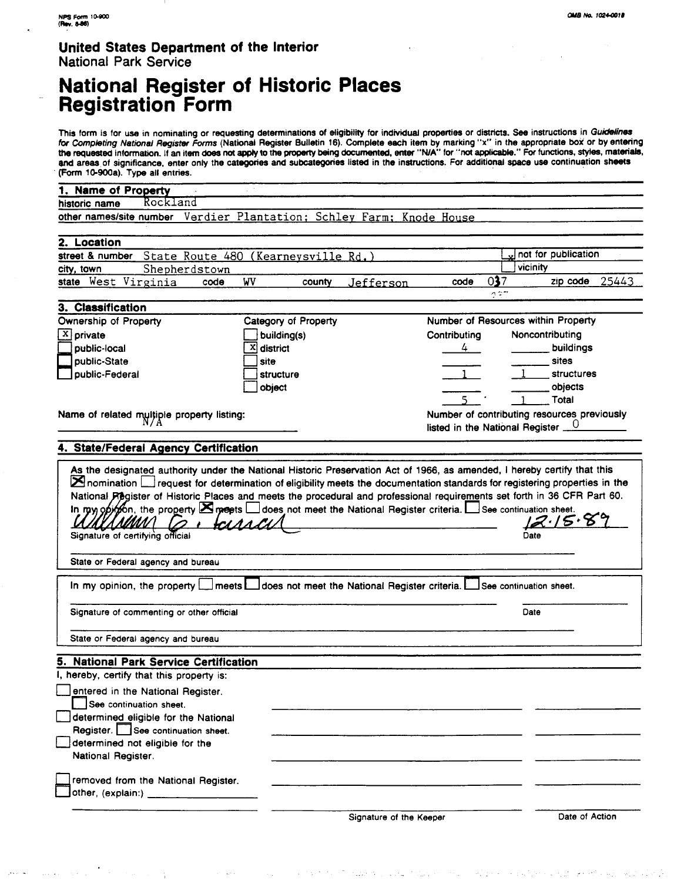#### **United States Department of the Interior National Park Service**

# **National Register of Historic Places Registration Form**

This form is for use in nominating or requesting determinations of eligibility for individual properties or districts. See instructions in Guidelines for Completing National Register **Fomrs** (National Register Bulletin 16). Complete each item by marking "x" in the appropriate **box** or by entering **the** requested information. **If** an item does **not** *apply* to the pmpwty being documented, enter **"NIA** for "rot applicable." For functions, **styks,** materiaQ, **8nd** areas of significance, enter only the categories **and** subcategories listed in the instructions. For additional space use continuation sheets (form 1G900a). Type all entries.

| 1. Name of Property                                                                     |                      |        |                         |                                                 |                         |                   |  |  |
|-----------------------------------------------------------------------------------------|----------------------|--------|-------------------------|-------------------------------------------------|-------------------------|-------------------|--|--|
| Rockland<br>historic name                                                               |                      |        |                         |                                                 |                         |                   |  |  |
| other names/site number Verdier Plantation; Schley Farm; Knode House                    |                      |        |                         |                                                 |                         |                   |  |  |
| 2. Location                                                                             |                      |        |                         |                                                 |                         |                   |  |  |
| street & number<br>State Route 480 (Kearneysville Rd.)                                  |                      |        |                         |                                                 | not for publication     |                   |  |  |
| Shepherdstown<br>city, town                                                             |                      |        |                         |                                                 | vicinity                |                   |  |  |
| state West Virginia<br>code                                                             | WV                   | county | Jefferson               | code                                            | 037<br>n tir            | zip code 25443    |  |  |
| 3. Classification                                                                       |                      |        |                         |                                                 |                         |                   |  |  |
| Ownership of Property                                                                   | Category of Property |        |                         | Number of Resources within Property             |                         |                   |  |  |
| $X$ private                                                                             | building(s)          |        |                         | Contributing                                    |                         | Noncontributing   |  |  |
| public-local                                                                            | X district           |        |                         | 4                                               |                         | buildings         |  |  |
| public-State                                                                            | site                 |        |                         |                                                 |                         | sites             |  |  |
| public-Federal                                                                          | structure            |        |                         |                                                 |                         | <b>structures</b> |  |  |
|                                                                                         | object               |        |                         |                                                 |                         | objects           |  |  |
|                                                                                         |                      |        |                         |                                                 |                         | Total             |  |  |
|                                                                                         |                      |        |                         | Number of contributing resources previously     |                         |                   |  |  |
| Name of related multiple property listing:                                              |                      |        |                         | listed in the National Register $\frac{0}{100}$ |                         |                   |  |  |
|                                                                                         |                      |        |                         |                                                 |                         |                   |  |  |
| 4. State/Federal Agency Certification                                                   |                      |        |                         |                                                 |                         |                   |  |  |
| Signature of certifying official                                                        |                      |        |                         |                                                 | Date                    |                   |  |  |
| State or Federal agency and bureau                                                      |                      |        |                         |                                                 |                         |                   |  |  |
| In my opinion, the property [1] meets [1] does not meet the National Register criteria. |                      |        |                         |                                                 | See continuation sheet. |                   |  |  |
| Signature of commenting or other official                                               |                      |        |                         |                                                 | Date                    |                   |  |  |
| State or Federal agency and bureau                                                      |                      |        |                         |                                                 |                         |                   |  |  |
| 5. National Park Service Certification                                                  |                      |        |                         |                                                 |                         |                   |  |  |
| hereby, certify that this property is:                                                  |                      |        |                         |                                                 |                         |                   |  |  |
| entered in the National Register.                                                       |                      |        |                         |                                                 |                         |                   |  |  |
| See continuation sheet.                                                                 |                      |        |                         |                                                 |                         |                   |  |  |
| determined eligible for the National                                                    |                      |        |                         |                                                 |                         |                   |  |  |
| Register. See continuation sheet.                                                       |                      |        |                         |                                                 |                         |                   |  |  |
| determined not eligible for the                                                         |                      |        |                         |                                                 |                         |                   |  |  |
| National Register.                                                                      |                      |        |                         |                                                 |                         |                   |  |  |
| removed from the National Register.                                                     |                      |        |                         |                                                 |                         |                   |  |  |
| other, (explain:)                                                                       |                      |        |                         |                                                 |                         |                   |  |  |
|                                                                                         |                      |        | Signature of the Keeper |                                                 |                         | Date of Action    |  |  |

 $\label{eq:2} \mathcal{L}(\mathbf{y}^{\text{in}}) \in \mathbb{R}^{N_{\text{out}}} \times \mathcal{M}_{\text{out}} \times \mathcal{M}_{\text{out}} \times \mathcal{M}_{\text{out}} \times \mathcal{M}_{\text{out}}$  $\alpha$  ,  $\beta$  and  $\gamma$  ,  $\gamma$  , nuse is all the control of the control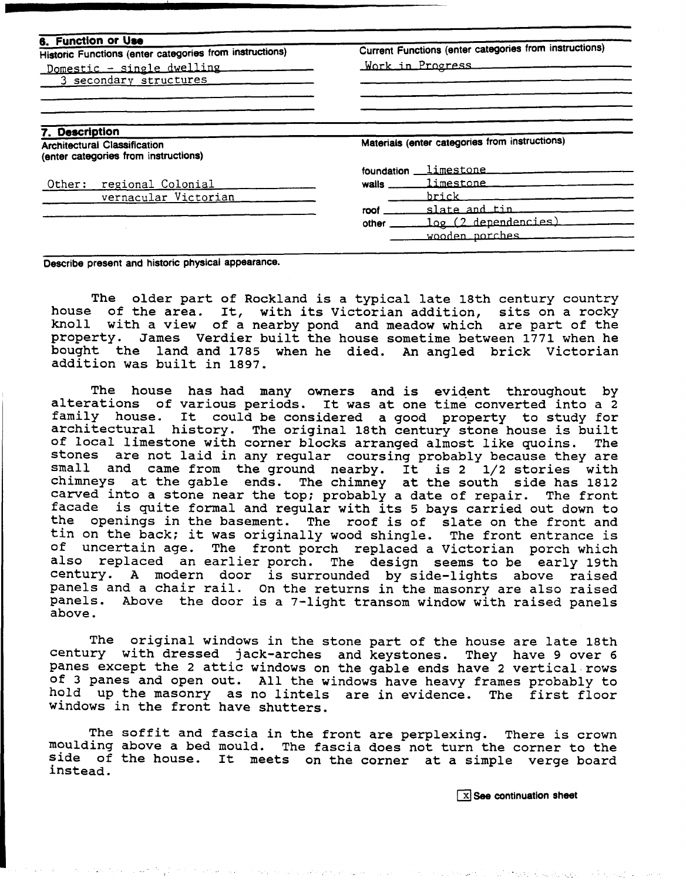| 6. Function or Use                                                          | Current Functions (enter categories from instructions) |  |  |
|-----------------------------------------------------------------------------|--------------------------------------------------------|--|--|
| Historic Functions (enter categories from instructions)                     |                                                        |  |  |
| Domestic - single dwelling                                                  | Work in Progress                                       |  |  |
| 3 secondary structures                                                      |                                                        |  |  |
|                                                                             |                                                        |  |  |
| 7. Description                                                              |                                                        |  |  |
| <b>Architectural Classification</b><br>(enter categories from instructions) | Materials (enter categories from instructions)         |  |  |
|                                                                             | limestone __________<br>foundation                     |  |  |
| regional Colonial<br>Other:                                                 | limestone ________<br>walls __                         |  |  |
| vernacular Victorian                                                        | brick                                                  |  |  |
|                                                                             | slate and tin<br>roof                                  |  |  |
|                                                                             | <u>log (2 dependencies)</u><br>other                   |  |  |
|                                                                             | wooden porches                                         |  |  |

**Describe present and historic physical appearance.** 

The older part of Rockland is a typical late 18th century country house of the area. It, with its Victorian addition, sits on a rocky knoll with a view of a nearby pond and meadow which are part of the James Verdier built the house sometime between 1771 when he bought the land and 1785 when he died. **An** angled brick Victorian addition was built in 1897.

The house has had many owners and is evident throughout by alterations of various periods. It was at one time converted into a 2 family house. It could be considered a good property to study for architectural history. The original 18th century stone house is built of local limestone with corner blocks arranged almost like quoins. The stones are not laid in any regular coursing probably because they are small and came from the ground nearby. It is 2 1/2 stories with chimneys at the gable ends. The chimney at the south side has 1812 carved into a stone near the top; probably a date of repair. The front facade is quite formal and regular with its 5 bays carried out down to the openings in the basement. The roof is of slate on the front and tin on the back; it was originally wood shingle. The front entrance is of uncertain age. The front porch replaced a Victorian porch which also replaced an earlier porch. The design seems to be early 19th century. A modern door is surrounded by side-lights above raised panels and a chair rail. On the returns in the masonry are also raised panels. Above the door is a 7-light transom window with raised panels above.

The original windows in the stone part of the house are late 18th century with dressed jack-arches and keystones. They have 9 over 6 panes except the 2 attic windows on the gable ends have 2 vertical-rows of 3 panes and open out. All the windows have heavy frames probably to hold up the masonry as no lintels are in evidence. The first floor windows in the front have shutters.

The soffit and fascia in the front are perplexing. There is crown moulding above a bed mould. The fascia does not turn the corner to the side of the house. It meets on the corner at a simple verge board instead.

**(See continuation sheet** 

പ്പോൾ പ്രകാര്പ്പിന്റെ നിന്നും കൊറിയപ്പോൾ പ്രകാശനം കഴിച്ചു. പ്രകാര്യം നിന്നും പ്രകാശക്കി. സ്റ്റീക്ക് കുടികളുടെ state and a strong country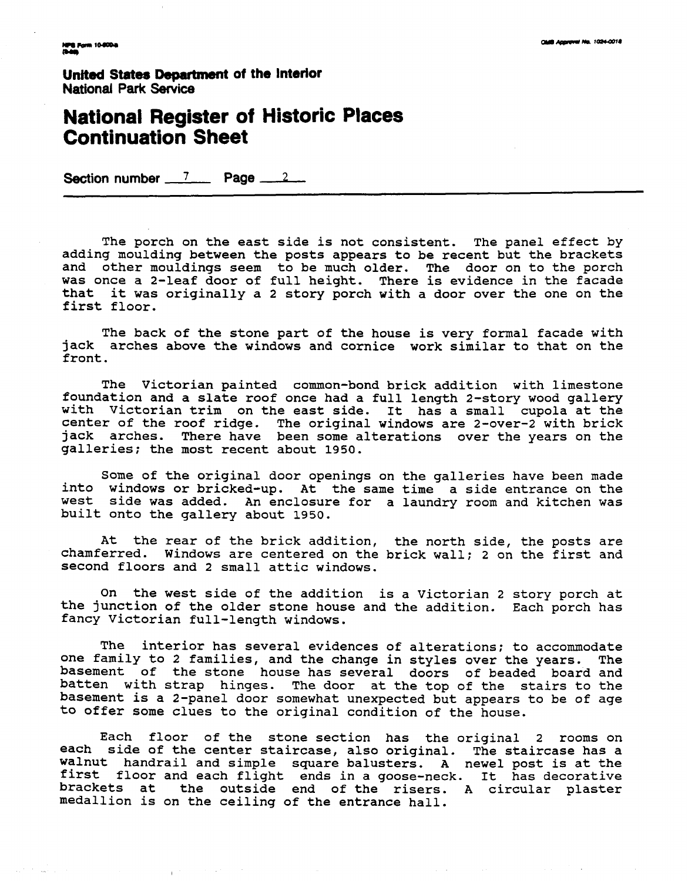$\gamma=\sqrt{2}$ 

**United States Department of the Interior National Park Service** 

# **National Register of Historic Section number 7 Page** 2 **Continuation Sheet**

The porch on the east side is not consistent. The panel effect by adding moulding between the posts appears to be recent but the brackets and other mouldings seem to be much older. The door on to the porch was once a 2-leaf door of full height. There is evidence in the facade that it was originally a 2 story porch with a door over the one on the first floor.

The back of the stone part of the house is very formal facade with jack arches above the windows and cornice work similar to that on the front .

The Victorian painted common-bond brick addition with limestone foundation and a slate roof once had a full length 2-story wood gallery with Victorian trim on the east side. It has a small cupola at the center of the roof ridge. The original windows are 2-over-2 with brick jack arches. There have been some alterations over the years on the galleries; the most recent about 1950.

Some of the original door openings on the galleries have been made into windows or bricked-up. At the same time a side entrance on the west side was added. An enclosure for a laundry room and kitchen was built onto the gallery about 1950.

At the rear of the brick addition, the north side, the posts are chamferred. Windows are centered on the brick wall: 2 on the first and Windows are centered on the brick wall; 2 on the first and second floors and 2 small attic windows.

On the west side of the addition is a victorian 2 story porch at the junction of the older stone house and the addition. Each porch has fancy Victorian full-length windows.

The interior has several evidences of alterations; to accommodate one family to 2 families, and the change in styles over the years. The basement of the stone house has several doors of beaded board and batten with strap hinges. The door at the top of the stairs to the basement is a 2-panel door somewhat unexpected but appears to be of age to offer some clues to the original condition of the house.

Each floor of the stone section has the original 2 rooms on each side of the center staircase, also original. The staircase has a walnut handrail and simple square balusters. A newel post is at the first floor and each flight ends in a goose-neck. It has decorative brackets at the outside end of the risers. A circular plaster medallion is on the ceiling of the entrance hall.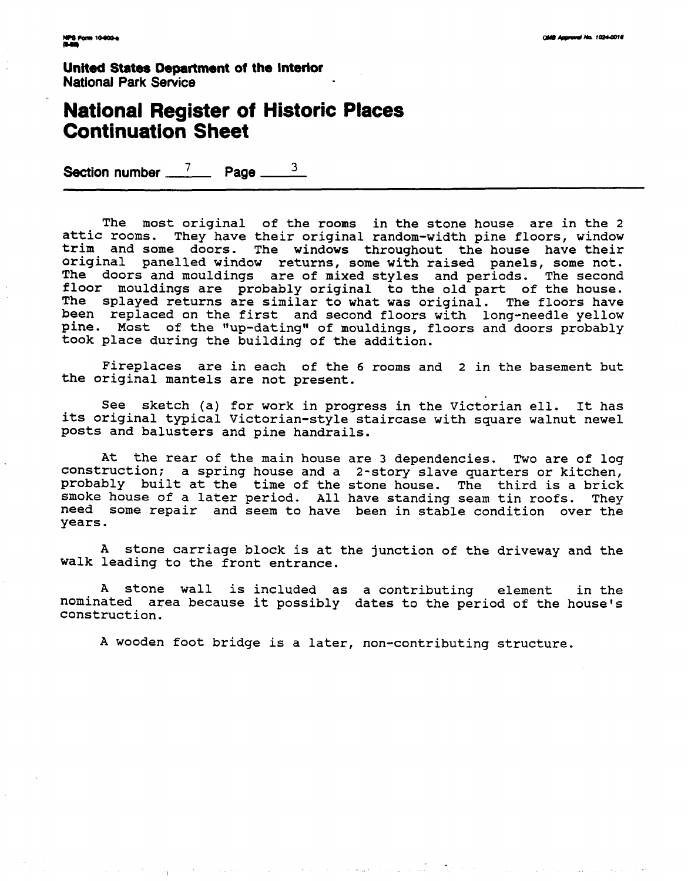**United States Department of the Interior National Park Sewice** 

### **National Register of Historic Places Continuation Sheet**

Section number  $\frac{7}{2}$  Page  $\frac{3}{2}$ 

The most original of the rooms in the stone house are in the 2 attic rooms. They have their original random-width pine floors, window trim and some doors. The windows throughout the house have their original panelled window returns, some with raised panels, some not. The doors and mouldings are of mixed styles and periods. The second floor mouldings are probably original to the old part of the house. The splayed returns are similar to what was original. The floors have been replaced on the first and second floors with long-needle yellow pine. Most of the "up-dating" of mouldings, floors and doors probably took place during the building of the addition.

Fireplaces are in each of the 6 rooms and 2 in the basement but the original mantels are not present.

See sketch (a) for work in progress in the Victorian ell. It has its original typical Victorian-style staircase with square walnut newel posts and balusters and pine handrails.

At the rear of the main house are 3 dependencies. Two are of log construction; a spring house and a 2-story slave quarters or kitchen, probably built at the time of the stone house. The third is a brick smoke house of a later period. All have standing seam tin roofs. They need some repair and seem to have been in stable condition over the years.

A stone carriage block is at the junction of the driveway and the walk leading to the front entrance.

A stone wall is included as a contributing element in the nominated area because it possibly dates to the period of the house's construction.

A wooden foot bridge is a later, non-contributing structure.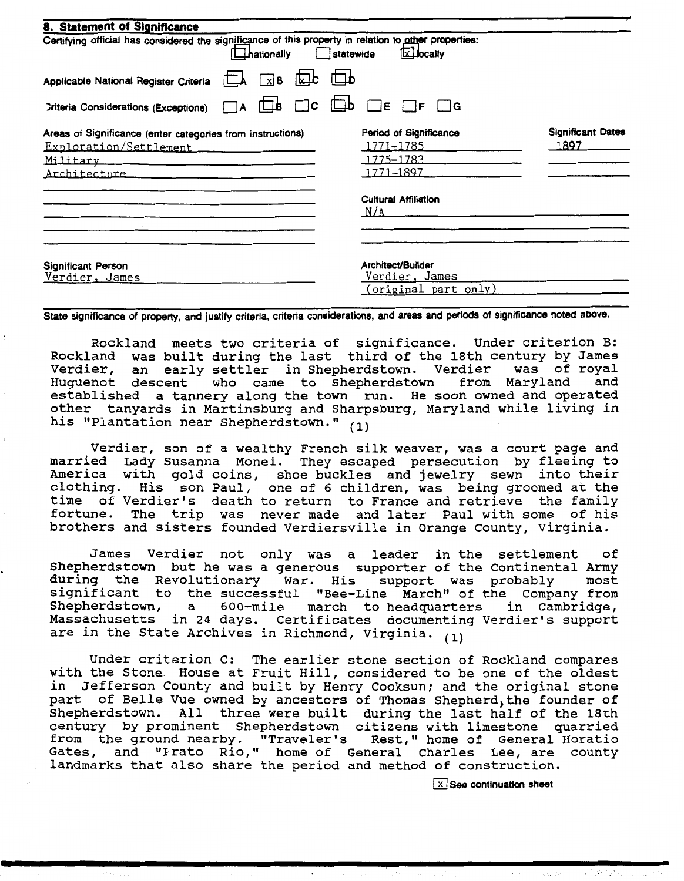| 8. Statement of Significance<br>Certifying official has considered the significance of this property in relation to other properties:<br>_hationally_         | <b>x</b> bcaily<br>statewide                                                                        |                                  |
|---------------------------------------------------------------------------------------------------------------------------------------------------------------|-----------------------------------------------------------------------------------------------------|----------------------------------|
| Applicable National Register Criteria                                                                                                                         | $x$ B $x$ c $\Box$ b                                                                                |                                  |
| $\Box$ b<br>٦A<br><b>Criteria Considerations (Exceptions)</b>                                                                                                 | $\Box$ c $\Box$ b<br>$\Box$ E<br>$\Box$ G<br>$\Box$ f                                               |                                  |
| Areas of Significance (enter categories from instructions)<br>Exploration/Settlement<br>Military expressions are also and the material<br><u>Architecture</u> | Period of Significance<br>1771–1785<br>1775–1783<br>1771–1897<br><b>Cultural Affiliation</b><br>N/A | <b>Significant Dates</b><br>1897 |
| Significant Person<br>Verdier, James                                                                                                                          | Architect/Builder<br>Verdier, James<br>(original part only)                                         |                                  |

**State significance of property, and justify criteria, criteria considerations, and areas and periods of significance noted above.** 

Rockland meets two criteria of significance. Under criterion B: Rockland was built during the last third of the 18th century by James vermenne was safit aaring one fase onire of one four concert sy cames<br>Verdier, an early settler in Shepherdstown. Verdier was of royal Huguenot descent who came to Shepherdstown from Maryland and Huguenot descent who came to Shepherdstown from Maryland and<br>established a tannery along the town run. He soon owned and operated other tanyards in Martinsburg and Sharpsburg, Maryland while living in his "Plantation near Shepherdstown." (1)

Verdier, son of a wealthy French silk weaver, was a court page and married Lady Susanna Monei. They escaped persecution by fleeing to America with gold coins, shoe buckles and jewelry sewn into their clothing. His son Paul, one of 6 children, was being groomed at the time of Verdier's death to return to France and retrieve the family fortune. The trip was never made and later Paul with some of his brothers and sisters founded Verdiersville in Orange County, Virginia.

James Verdier not only was a leader in the settlement of Shepherdstown but he was a generous supporter of the continental Army during the Revolutionary War. His support was probably most significant to the successful "Bee-Line March" of the Company from Shepherdstown, a 600-mile march to headquarters in Cambridge. Shepherdstown, a 600-mile march to headquarters in Cambridge,<br>Massachusetts in 24 days. Certificates documenting Verdier's support are in the State Archives in Richmond, Virginia. **(1)** 

Under criterion C: The earlier stone section of Rockland compares with the Stone. House at Fruit Hill, considered to be one of the oldest in Jefferson County and built by Henry Cooksun; and the original stone part of Belle Vue owned by ancestors of Thomas Shepherd, the founder of Shepherdstown. All three were built during the last half of the 18th century by prominent Shepherdstown citizens with limestone quarried entury by prominent onepherustown citizens with fimestone quarried.<br>Tom the ground nearby. "Traveler's & Rest." home of General Horatio era and ground nearby: Traverer S Rese, home of General Charles Lee, are county landmarks that also share the period and method of construction.

(xl **See continuation sheet**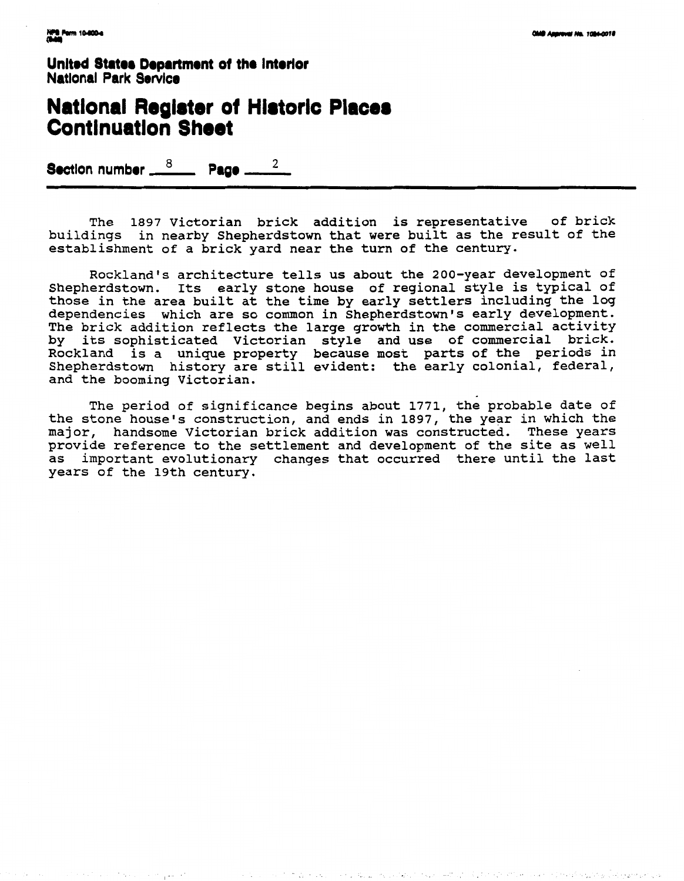United States Department of the Interior **National Park Service** 

## **National Register of Historic Places Continuation Sheet**

Section number  $\frac{8}{2}$  Page \_ 2

The 1897 Victorian brick addition is representative of brick buildings in nearby Shepherdstown that were built as the result of the establishment of a brick yard near the turn of the century.

Rockland's architecture tells us about the 200-year development of Shepherdstown. Its early stone house of regional style is typical of those in the area built at the time by early settlers including the log dependencies which are so common in Shepherdstown's early development. The brick addition reflects the large growth in the commercial activity by its sophisticated Victorian style and use of commercial brick.<br>Rockland is a unique property because most parts of the periods in Shepherdstown history are still evident: the early colonial, federal, and the booming Victorian.

The period of significance begins about 1771, the probable date of the stone house's construction, and ends in 1897, the year in which the major, handsome Victorian brick addition was constructed. These years provide reference to the settlement and development of the site as well as important evolutionary changes that occurred there until the last years of the 19th century.

 $\mathcal{C} \subset \mathcal{C}$  . Let

مروق ويوقع والأربع وواليه والأواد والإناء والمتحاربة والأراد والأراق والمتحدث والمتحال والأرادي والتقاعات المتحالة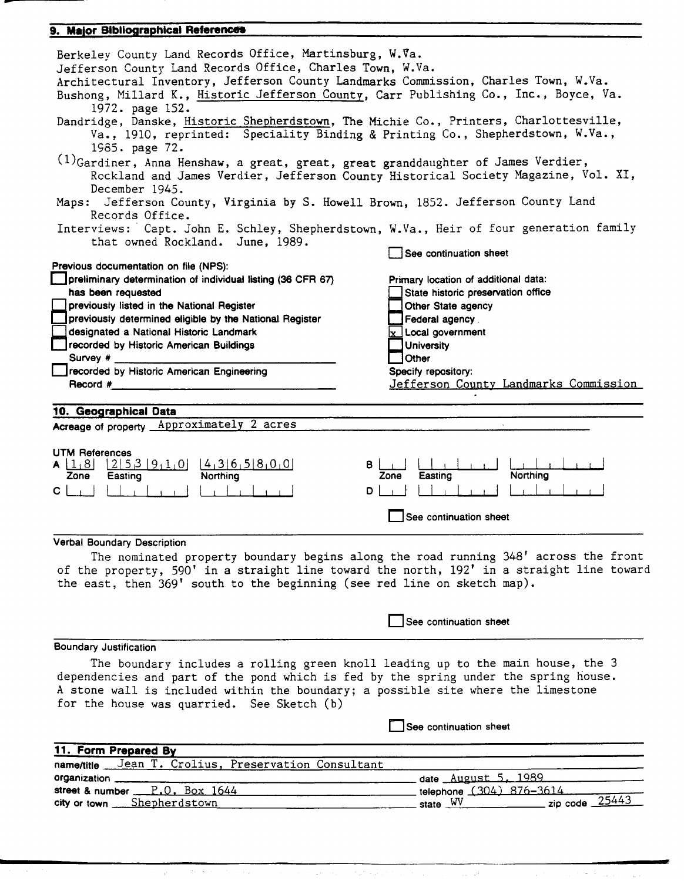#### 9. Major Bibliographical References

| Berkeley County Land Records Office, Martinsburg, W.Va.<br>Jefferson County Land Records Office, Charles Town, W.Va.<br>Architectural Inventory, Jefferson County Landmarks Commission, Charles Town, W.Va.<br>Bushong, Millard K., Historic Jefferson County, Carr Publishing Co., Inc., Boyce, Va.<br>1972. page 152. |                                                                                                  |  |  |  |  |  |  |
|-------------------------------------------------------------------------------------------------------------------------------------------------------------------------------------------------------------------------------------------------------------------------------------------------------------------------|--------------------------------------------------------------------------------------------------|--|--|--|--|--|--|
| Dandridge, Danske, Historic Shepherdstown, The Michie Co., Printers, Charlottesville,<br>Va., 1910, reprinted: Speciality Binding & Printing Co., Shepherdstown, W.Va.,<br>1985. page 72.                                                                                                                               |                                                                                                  |  |  |  |  |  |  |
| $(1)$ Gardiner, Anna Henshaw, a great, great, great granddaughter of James Verdier,<br>Rockland and James Verdier, Jefferson County Historical Society Magazine, Vol. XI,<br>December 1945.<br>Maps: Jefferson County, Virginia by S. Howell Brown, 1852. Jefferson County Land                                         |                                                                                                  |  |  |  |  |  |  |
| Records Office.<br>Interviews: Capt. John E. Schley, Shepherdstown, W.Va., Heir of four generation family<br>that owned Rockland. June, 1989.                                                                                                                                                                           |                                                                                                  |  |  |  |  |  |  |
|                                                                                                                                                                                                                                                                                                                         | See continuation sheet                                                                           |  |  |  |  |  |  |
| Previous documentation on file (NPS):<br>preliminary determination of individual listing (36 CFR 67)<br>has been requested<br>previously listed in the National Register                                                                                                                                                | Primary location of additional data:<br>State historic preservation office<br>Other State agency |  |  |  |  |  |  |
| previously determined eligible by the National Register                                                                                                                                                                                                                                                                 | Federal agency.                                                                                  |  |  |  |  |  |  |
| designated a National Historic Landmark                                                                                                                                                                                                                                                                                 | $x$ Local government                                                                             |  |  |  |  |  |  |
| recorded by Historic American Buildings                                                                                                                                                                                                                                                                                 | <b>University</b>                                                                                |  |  |  |  |  |  |
| Survey #                                                                                                                                                                                                                                                                                                                | ]Other                                                                                           |  |  |  |  |  |  |
| Secorded by Historic American Engineering                                                                                                                                                                                                                                                                               | Specify repository:                                                                              |  |  |  |  |  |  |
| Record #                                                                                                                                                                                                                                                                                                                | Jefferson County Landmarks Commission                                                            |  |  |  |  |  |  |
| 10. Geographical Data<br>Acreage of property Approximately 2 acres                                                                                                                                                                                                                                                      |                                                                                                  |  |  |  |  |  |  |
| <b>UTM References</b><br>215319110<br>14,36,58,00<br>$A \lfloor 1.8 \rfloor$<br>B  <br>Easting<br>Zone<br>Northing<br>$C \perp$<br>D                                                                                                                                                                                    | Northing<br>Zone<br>Easting                                                                      |  |  |  |  |  |  |
|                                                                                                                                                                                                                                                                                                                         | See continuation sheet                                                                           |  |  |  |  |  |  |
| <b>Verbal Boundary Description</b>                                                                                                                                                                                                                                                                                      |                                                                                                  |  |  |  |  |  |  |
| The nominated property boundary begins along the road running 348' across the front<br>of the property, 590' in a straight line toward the north, 192' in a straight line toward<br>the east, then 369' south to the beginning (see red line on sketch map).                                                            |                                                                                                  |  |  |  |  |  |  |
|                                                                                                                                                                                                                                                                                                                         | See continuation sheet                                                                           |  |  |  |  |  |  |
| <b>Boundary Justification</b>                                                                                                                                                                                                                                                                                           |                                                                                                  |  |  |  |  |  |  |
| The boundary includes a rolling green knoll leading up to the main house, the 3<br>dependencies and part of the pond which is fed by the spring under the spring house.<br>A stone wall is included within the boundary; a possible site where the limestone<br>for the house was quarried. See Sketch (b)              |                                                                                                  |  |  |  |  |  |  |
|                                                                                                                                                                                                                                                                                                                         | See continuation sheet                                                                           |  |  |  |  |  |  |
| 11. Form Prepared By                                                                                                                                                                                                                                                                                                    |                                                                                                  |  |  |  |  |  |  |
| name/title Jean T. Crolius, Preservation Consultant                                                                                                                                                                                                                                                                     |                                                                                                  |  |  |  |  |  |  |
| organization __                                                                                                                                                                                                                                                                                                         | date August 5, 1989                                                                              |  |  |  |  |  |  |
| street & number P.O. Box 1644                                                                                                                                                                                                                                                                                           | telephone (304) 876-3614                                                                         |  |  |  |  |  |  |
| Shepherdstown<br>$city$ or town $\_\_$                                                                                                                                                                                                                                                                                  | zip code $25443$<br>state WV                                                                     |  |  |  |  |  |  |

 $\label{eq:2} \frac{1}{\sqrt{2}}\left[\frac{1}{2}\frac{\partial \phi}{\partial x} + \frac{1}{2}\frac{\partial \phi}{\partial y} + \frac{1}{2}\frac{\partial \phi}{\partial y} + \frac{1}{2}\frac{\partial \phi}{\partial z}\right]$  $\frac{1}{2} \frac{1}{2} \left( \frac{1}{2} \vec{C} \right)$  $\hat{\psi}$  and  $\hat{\psi}$  and

 $\tau_{\rm eff}$  ,  $\tau_{\rm c}$ 

**Contract** 

 $\phi_{\tau}(\beta)$  .

 $\sim 0^6$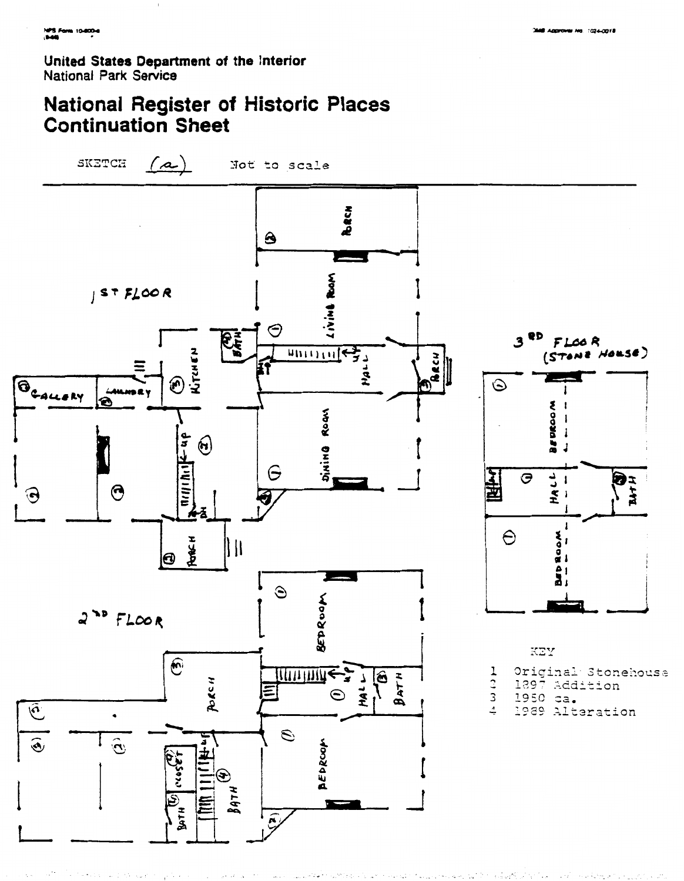Sunday of the

o wilaya

i an

United States Department of the Interior National Park Service

# **National Register of Historic Places Continuation Sheet**

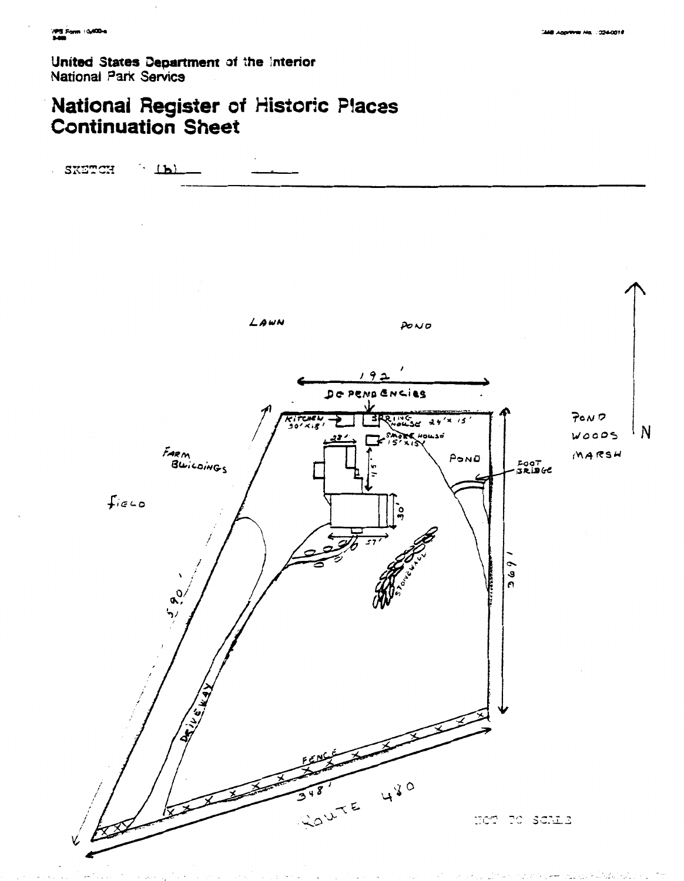**United States Department of the Interior National** *Park* **Servica** 

# **National Register of Historic Piaces Continuation** *Sheet*

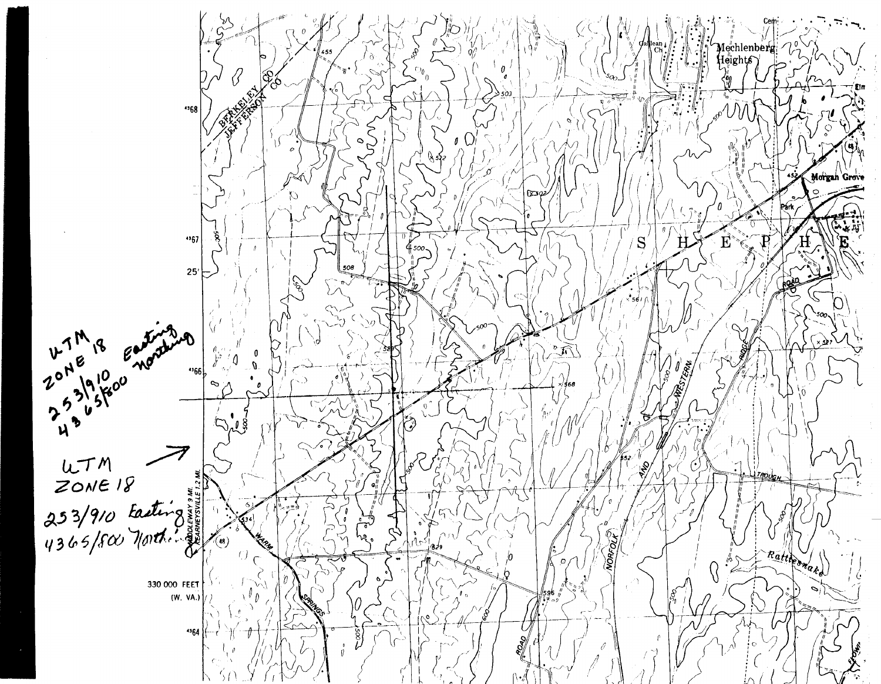